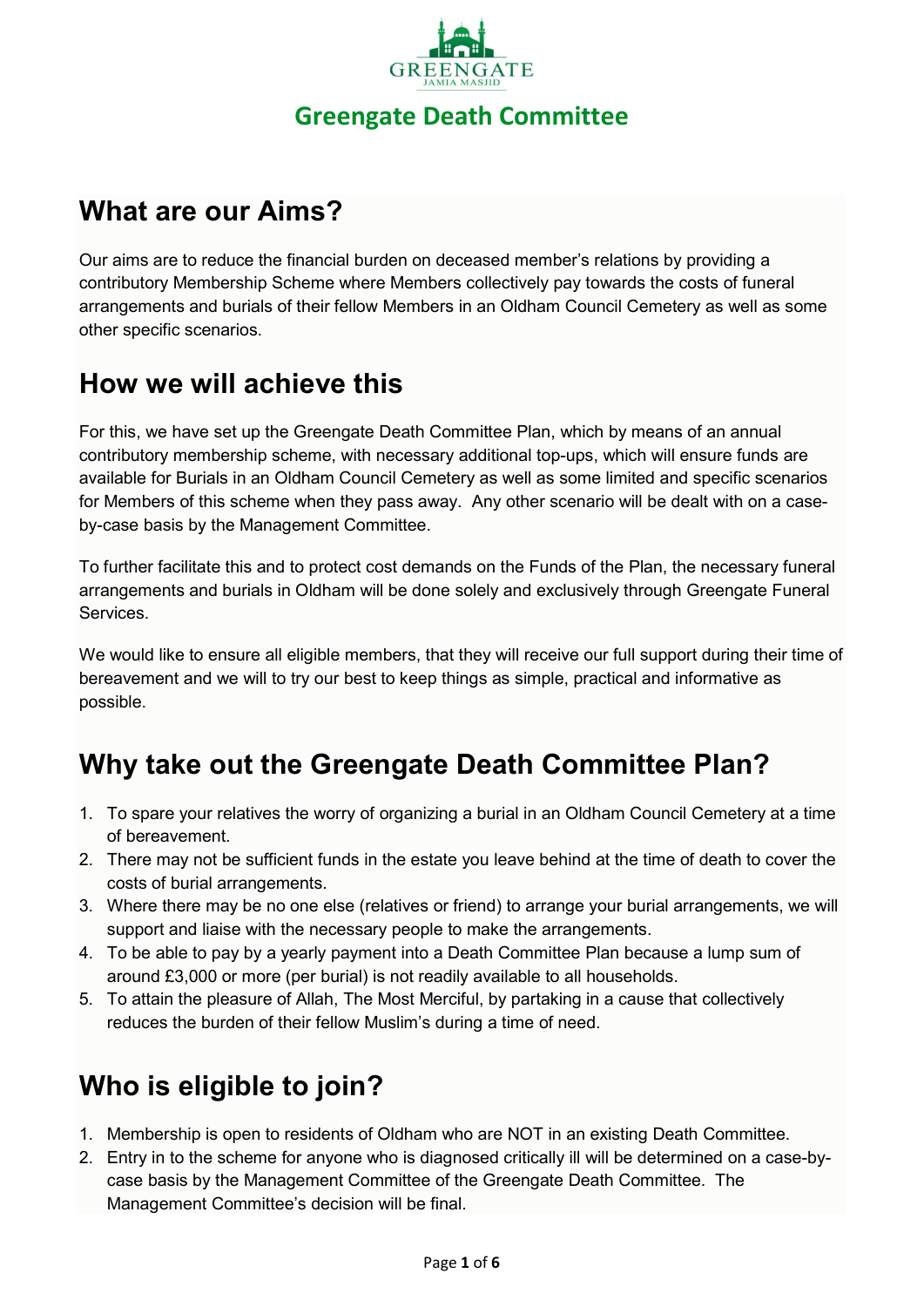

# What are our Aims?

Our aims are to reduce the financial burden on deceased member's relations by providing a contributory Membership Scheme where Members collectively pay towards the costs of funeral arrangements and burials of their fellow Members in an Oldham Council Cemetery as well as some other specific scenarios.

## How we will achieve this

For this, we have set up the Greengate Death Committee Plan, which by means of an annual contributory membership scheme, with necessary additional top-ups, which will ensure funds are available for Burials in an Oldham Council Cemetery as well as some limited and specific scenarios for Members of this scheme when they pass away. Any other scenario will be dealt with on a caseby-case basis by the Management Committee.

To further facilitate this and to protect cost demands on the Funds of the Plan, the necessary funeral arrangements and burials in Oldham will be done solely and exclusively through Greengate Funeral Services.

We would like to ensure all eligible members, that they will receive our full support during their time of bereavement and we will to try our best to keep things as simple, practical and informative as possible.

# Why take out the Greengate Death Committee Plan?

- 1. To spare your relatives the worry of organizing a burial in an Oldham Council Cemetery at a time of bereavement.
- 2. There may not be sufficient funds in the estate you leave behind at the time of death to cover the costs of burial arrangements.
- 3. Where there may be no one else (relatives or friend) to arrange your burial arrangements, we will support and liaise with the necessary people to make the arrangements.
- 4. To be able to pay by a yearly payment into a Death Committee Plan because a lump sum of around £3,000 or more (per burial) is not readily available to all households.
- 5. To attain the pleasure of Allah, The Most Merciful, by partaking in a cause that collectively reduces the burden of their fellow Muslim's during a time of need.

# Who is eligible to join?

- 1. Membership is open to residents of Oldham who are NOT in an existing Death Committee.
- 2. Entry in to the scheme for anyone who is diagnosed critically ill will be determined on a case-bycase basis by the Management Committee of the Greengate Death Committee. The Management Committee's decision will be final.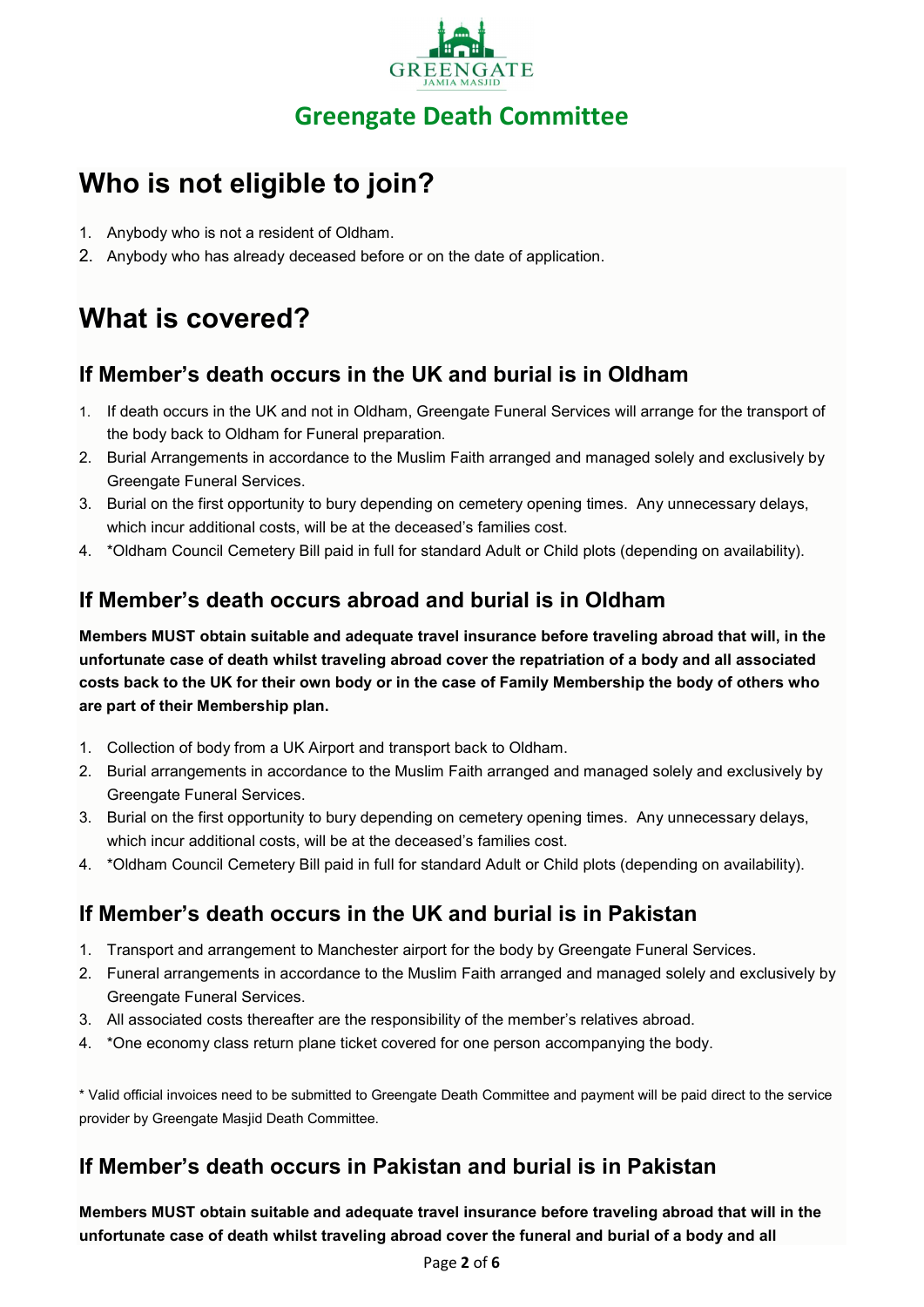

# Who is not eligible to join?

- 1. Anybody who is not a resident of Oldham.
- 2. Anybody who has already deceased before or on the date of application.

# What is covered?

## If Member's death occurs in the UK and burial is in Oldham

- 1. If death occurs in the UK and not in Oldham, Greengate Funeral Services will arrange for the transport of the body back to Oldham for Funeral preparation.
- 2. Burial Arrangements in accordance to the Muslim Faith arranged and managed solely and exclusively by Greengate Funeral Services.
- 3. Burial on the first opportunity to bury depending on cemetery opening times. Any unnecessary delays, which incur additional costs, will be at the deceased's families cost.
- 4. \*Oldham Council Cemetery Bill paid in full for standard Adult or Child plots (depending on availability).

## If Member's death occurs abroad and burial is in Oldham

Members MUST obtain suitable and adequate travel insurance before traveling abroad that will, in the unfortunate case of death whilst traveling abroad cover the repatriation of a body and all associated costs back to the UK for their own body or in the case of Family Membership the body of others who are part of their Membership plan.

- 1. Collection of body from a UK Airport and transport back to Oldham.
- 2. Burial arrangements in accordance to the Muslim Faith arranged and managed solely and exclusively by Greengate Funeral Services.
- 3. Burial on the first opportunity to bury depending on cemetery opening times. Any unnecessary delays, which incur additional costs, will be at the deceased's families cost.
- 4. \*Oldham Council Cemetery Bill paid in full for standard Adult or Child plots (depending on availability).

## If Member's death occurs in the UK and burial is in Pakistan

- 1. Transport and arrangement to Manchester airport for the body by Greengate Funeral Services.
- 2. Funeral arrangements in accordance to the Muslim Faith arranged and managed solely and exclusively by Greengate Funeral Services.
- 3. All associated costs thereafter are the responsibility of the member's relatives abroad.
- 4. \*One economy class return plane ticket covered for one person accompanying the body.

\* Valid official invoices need to be submitted to Greengate Death Committee and payment will be paid direct to the service provider by Greengate Masjid Death Committee.

## If Member's death occurs in Pakistan and burial is in Pakistan

Members MUST obtain suitable and adequate travel insurance before traveling abroad that will in the unfortunate case of death whilst traveling abroad cover the funeral and burial of a body and all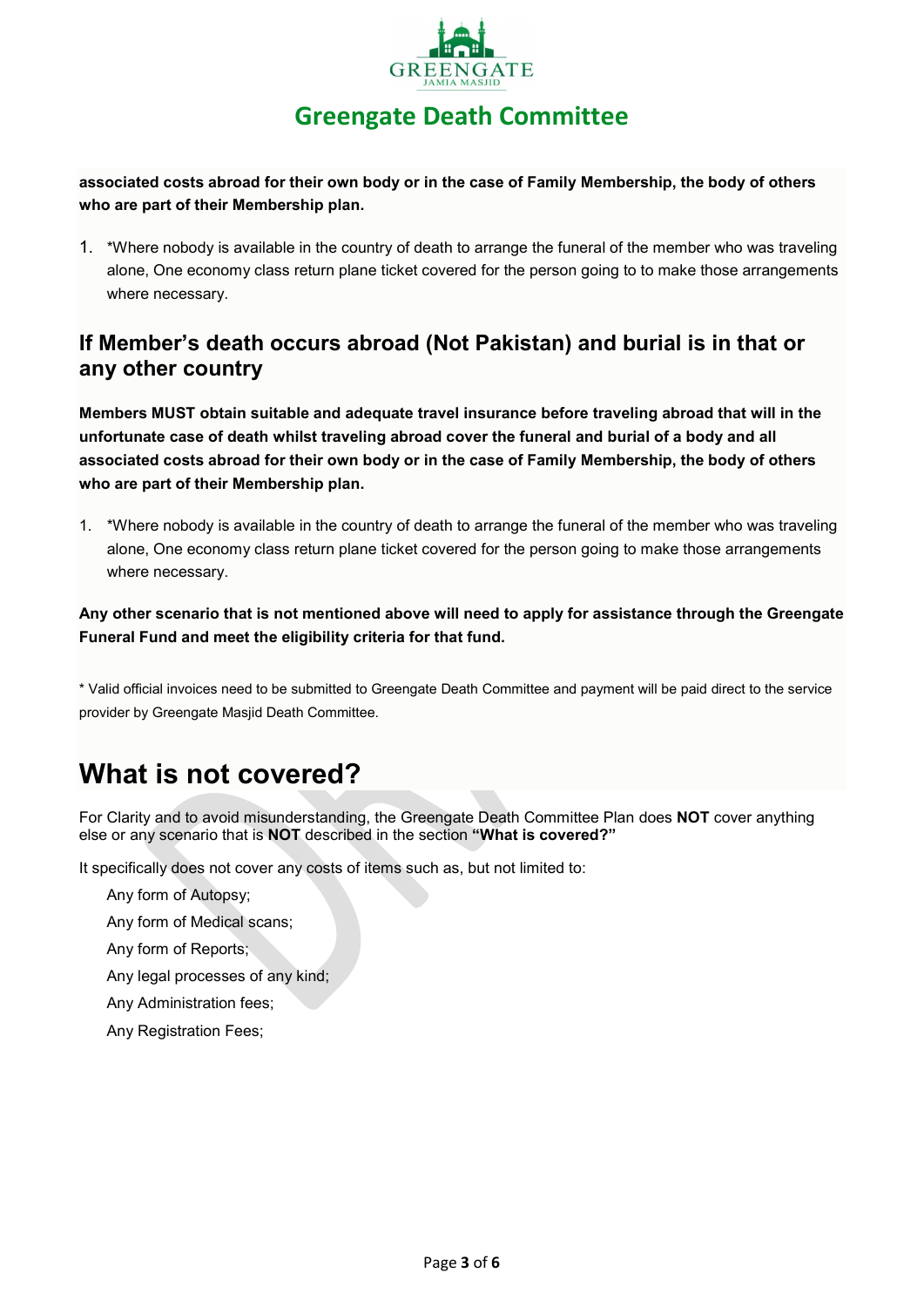

## Greengate Death Committee

associated costs abroad for their own body or in the case of Family Membership, the body of others who are part of their Membership plan.

1. \*Where nobody is available in the country of death to arrange the funeral of the member who was traveling alone, One economy class return plane ticket covered for the person going to to make those arrangements where necessary.

#### If Member's death occurs abroad (Not Pakistan) and burial is in that or any other country

Members MUST obtain suitable and adequate travel insurance before traveling abroad that will in the unfortunate case of death whilst traveling abroad cover the funeral and burial of a body and all associated costs abroad for their own body or in the case of Family Membership, the body of others who are part of their Membership plan.

1. \*Where nobody is available in the country of death to arrange the funeral of the member who was traveling alone, One economy class return plane ticket covered for the person going to make those arrangements where necessary.

Any other scenario that is not mentioned above will need to apply for assistance through the Greengate Funeral Fund and meet the eligibility criteria for that fund.

\* Valid official invoices need to be submitted to Greengate Death Committee and payment will be paid direct to the service provider by Greengate Masjid Death Committee.

# What is not covered?

For Clarity and to avoid misunderstanding, the Greengate Death Committee Plan does NOT cover anything else or any scenario that is NOT described in the section "What is covered?"

It specifically does not cover any costs of items such as, but not limited to:

Any form of Autopsy;

Any form of Medical scans;

Any form of Reports;

Any legal processes of any kind;

Any Administration fees;

Any Registration Fees;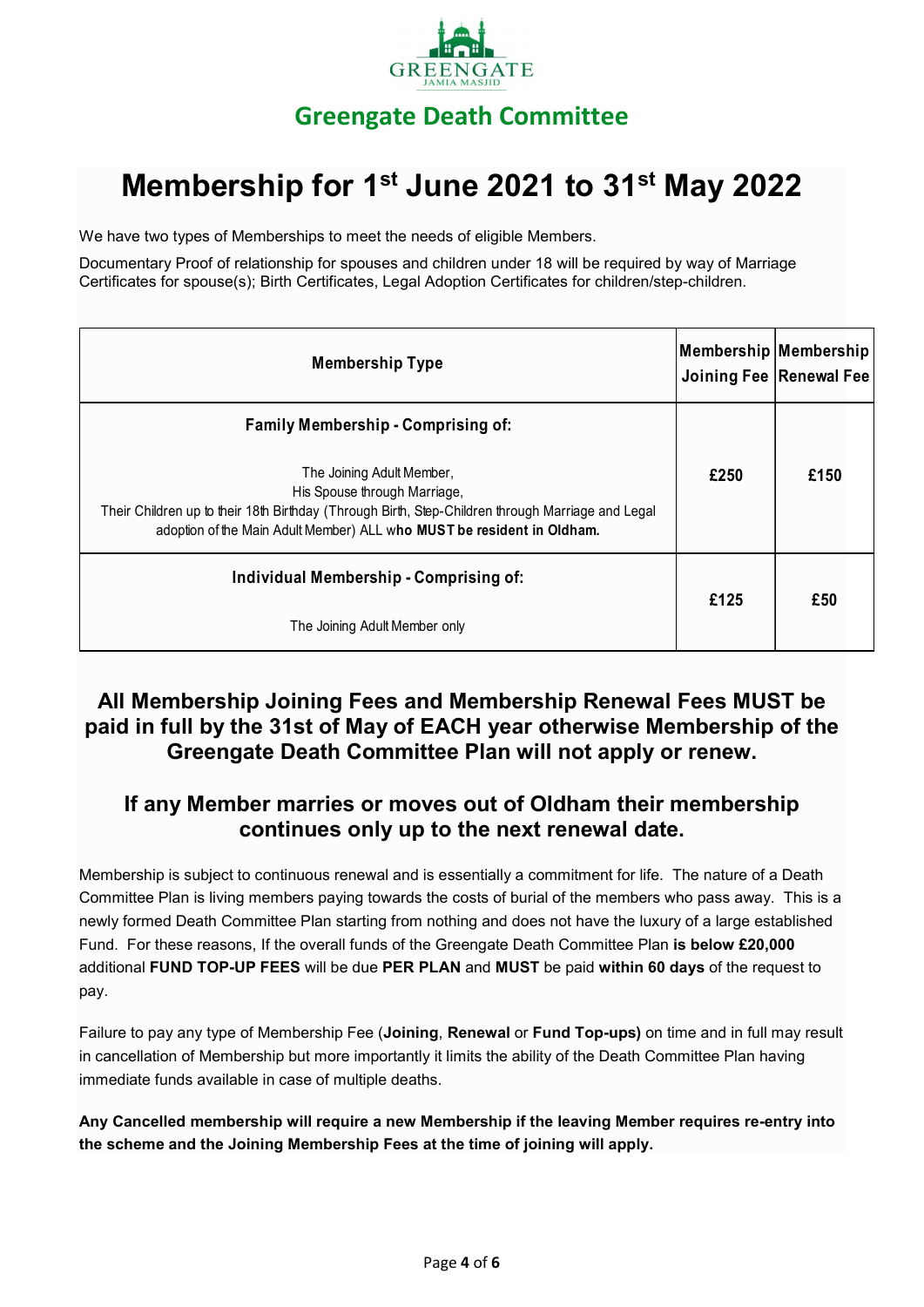

# Membership for 1<sup>st</sup> June 2021 to 31<sup>st</sup> May 2022

| <b>GREENGALE</b>                                                                                                                                                                                                                         |                       |                           |
|------------------------------------------------------------------------------------------------------------------------------------------------------------------------------------------------------------------------------------------|-----------------------|---------------------------|
| <b>Greengate Death Committee</b>                                                                                                                                                                                                         |                       |                           |
| Membership for 1 <sup>st</sup> June 2021 to 31 <sup>st</sup> May 2022                                                                                                                                                                    |                       |                           |
| We have two types of Memberships to meet the needs of eligible Members.                                                                                                                                                                  |                       |                           |
| Documentary Proof of relationship for spouses and children under 18 will be required by way of Marriage<br>Certificates for spouse(s); Birth Certificates, Legal Adoption Certificates for children/step-children.                       |                       |                           |
| <b>Membership Type</b>                                                                                                                                                                                                                   | Membership Membership | Joining Fee   Renewal Fee |
| <b>Family Membership - Comprising of:</b>                                                                                                                                                                                                |                       |                           |
| The Joining Adult Member,<br>His Spouse through Marriage,<br>Their Children up to their 18th Birthday (Through Birth, Step-Children through Marriage and Legal<br>adoption of the Main Adult Member) ALL who MUST be resident in Oldham. | £250                  | £150                      |
| Individual Membership - Comprising of:                                                                                                                                                                                                   | £125                  | £50                       |
| The Joining Adult Member only                                                                                                                                                                                                            |                       |                           |

#### All Membership Joining Fees and Membership Renewal Fees MUST be paid in full by the 31st of May of EACH year otherwise Membership of the Greengate Death Committee Plan will not apply or renew.

#### If any Member marries or moves out of Oldham their membership continues only up to the next renewal date.

Membership is subject to continuous renewal and is essentially a commitment for life. The nature of a Death Committee Plan is living members paying towards the costs of burial of the members who pass away. This is a newly formed Death Committee Plan starting from nothing and does not have the luxury of a large established Fund. For these reasons, If the overall funds of the Greengate Death Committee Plan is below £20,000 additional FUND TOP-UP FEES will be due PER PLAN and MUST be paid within 60 days of the request to pay.

Failure to pay any type of Membership Fee (Joining, Renewal or Fund Top-ups) on time and in full may result in cancellation of Membership but more importantly it limits the ability of the Death Committee Plan having immediate funds available in case of multiple deaths.

Any Cancelled membership will require a new Membership if the leaving Member requires re-entry into the scheme and the Joining Membership Fees at the time of joining will apply.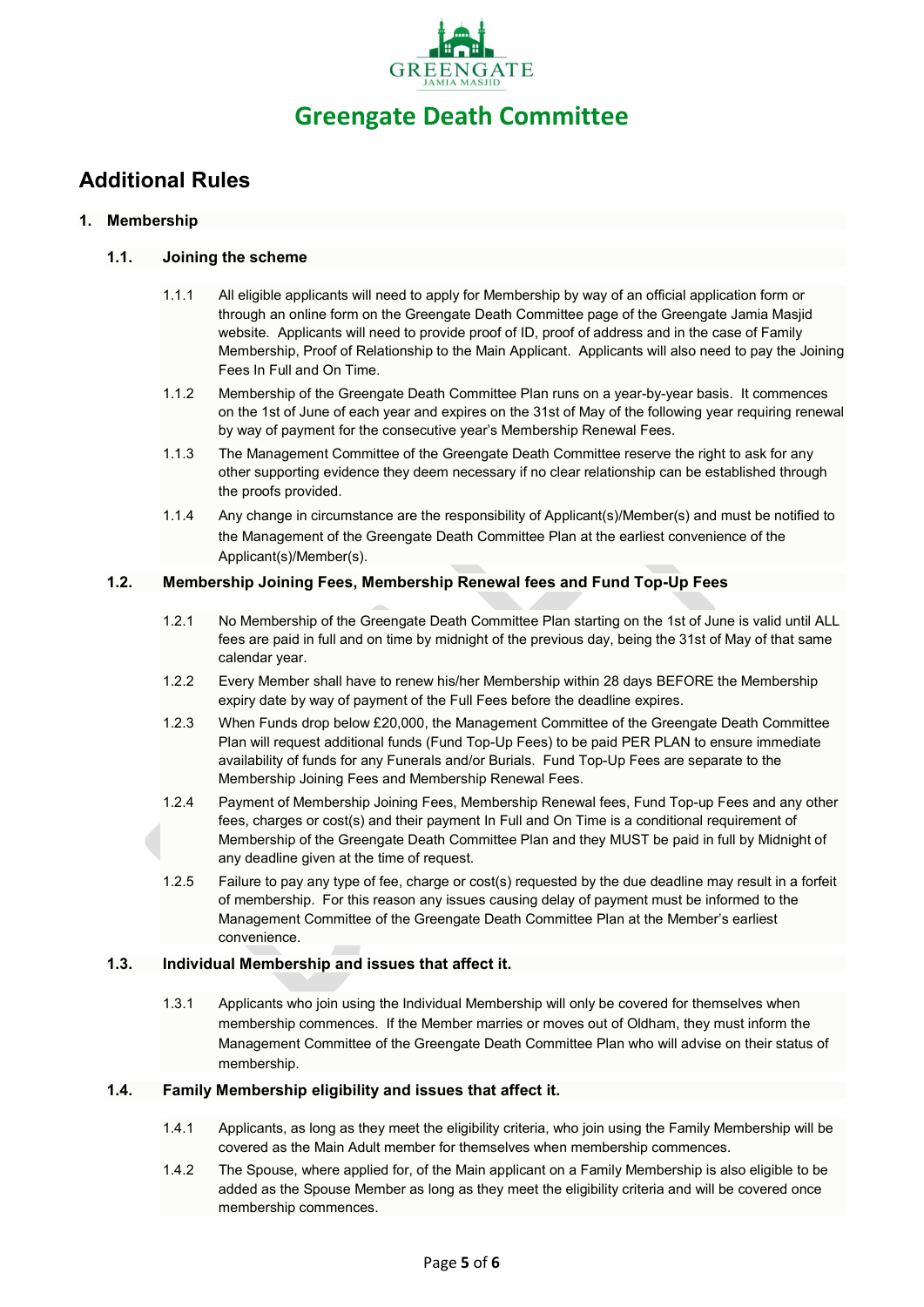

### Additional Rules

#### 1. Membership

#### 1.1. Joining the scheme

- 1.1.1 All eligible applicants will need to apply for Membership by way of an official application form or through an online form on the Greengate Death Committee page of the Greengate Jamia Masjid website. Applicants will need to provide proof of ID, proof of address and in the case of Family Membership, Proof of Relationship to the Main Applicant. Applicants will also need to pay the Joining Fees In Full and On Time.
- 1.1.2 Membership of the Greengate Death Committee Plan runs on a year-by-year basis. It commences on the 1st of June of each year and expires on the 31st of May of the following year requiring renewal by way of payment for the consecutive year's Membership Renewal Fees.
- 1.1.3 The Management Committee of the Greengate Death Committee reserve the right to ask for any other supporting evidence they deem necessary if no clear relationship can be established through the proofs provided.
- 1.1.4 Any change in circumstance are the responsibility of Applicant(s)/Member(s) and must be notified to the Management of the Greengate Death Committee Plan at the earliest convenience of the Applicant(s)/Member(s).

#### 1.2. Membership Joining Fees, Membership Renewal fees and Fund Top-Up Fees

- 1.2.1 No Membership of the Greengate Death Committee Plan starting on the 1st of June is valid until ALL fees are paid in full and on time by midnight of the previous day, being the 31st of May of that same calendar year.
- 1.2.2 Every Member shall have to renew his/her Membership within 28 days BEFORE the Membership expiry date by way of payment of the Full Fees before the deadline expires.
- 1.2.3 When Funds drop below £20,000, the Management Committee of the Greengate Death Committee Plan will request additional funds (Fund Top-Up Fees) to be paid PER PLAN to ensure immediate availability of funds for any Funerals and/or Burials. Fund Top-Up Fees are separate to the Membership Joining Fees and Membership Renewal Fees.
- 1.2.4 Payment of Membership Joining Fees, Membership Renewal fees, Fund Top-up Fees and any other fees, charges or cost(s) and their payment In Full and On Time is a conditional requirement of Membership of the Greengate Death Committee Plan and they MUST be paid in full by Midnight of any deadline given at the time of request.
- 1.2.5 Failure to pay any type of fee, charge or cost(s) requested by the due deadline may result in a forfeit of membership. For this reason any issues causing delay of payment must be informed to the Management Committee of the Greengate Death Committee Plan at the Member's earliest convenience.

#### 1.3. Individual Membership and issues that affect it.

1.3.1 Applicants who join using the Individual Membership will only be covered for themselves when membership commences. If the Member marries or moves out of Oldham, they must inform the Management Committee of the Greengate Death Committee Plan who will advise on their status of membership.

#### 1.4. Family Membership eligibility and issues that affect it.

- 1.4.1 Applicants, as long as they meet the eligibility criteria, who join using the Family Membership will be covered as the Main Adult member for themselves when membership commences.
- 1.4.2 The Spouse, where applied for, of the Main applicant on a Family Membership is also eligible to be added as the Spouse Member as long as they meet the eligibility criteria and will be covered once membership commences.